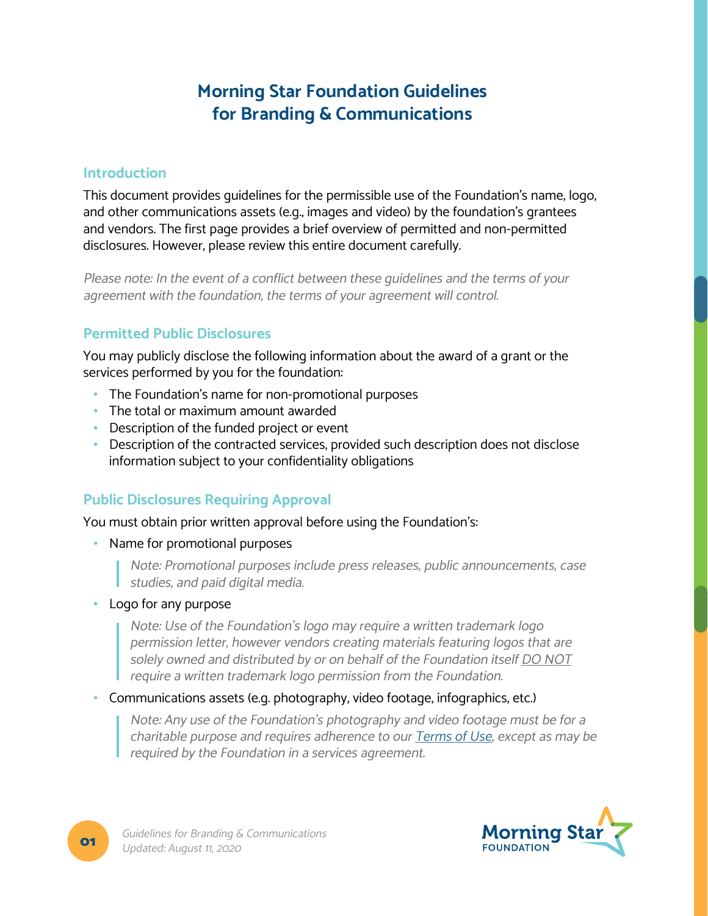# **Morning Star Foundation Guidelines for Branding & Communications**

### **Introduction**

This document provides guidelines for the permissible use of the Foundation's name, logo, and other communications assets (e.g., images and video) by the foundation's grantees and vendors. The first page provides a brief overview of permitted and non-permitted disclosures. However, please review this entire document carefully.

Please note: In the event of a conflict between these guidelines and the terms of your agreement with the foundation, the terms of your agreement will control.

### **Permitted Public Disclosures**

You may publicly disclose the following information about the award of a grant or the services performed by you for the foundation:

- The Foundation's name for non-promotional purposes
- The total or maximum amount awarded
- Description of the funded project or event
- Description of the contracted services, provided such description does not disclose information subject to your confidentiality obligations

# **Public Disclosures Requiring Approval**

You must obtain prior written approval before using the Foundation's:

- Name for promotional purposes
	- Note: Promotional purposes include press releases, public announcements, case studies, and paid digital media.
- Logo for any purpose

Note: Use of the Foundation's logo may require a written trademark logo permission letter, however vendors creating materials featuring logos that are solely owned and distributed by or on behalf of the Foundation itself DO NOT require a written trademark logo permission from the Foundation.

### • Communications assets (e.g. photography, video footage, infographics, etc.)

Note: Any use of the Foundation's photography and video footage must be for a charitable purpose and requires adherence to our [Terms of Use](http://www.morningstar-foundation.org/terms-of-use), except as may be required by the Foundation in a services agreement.

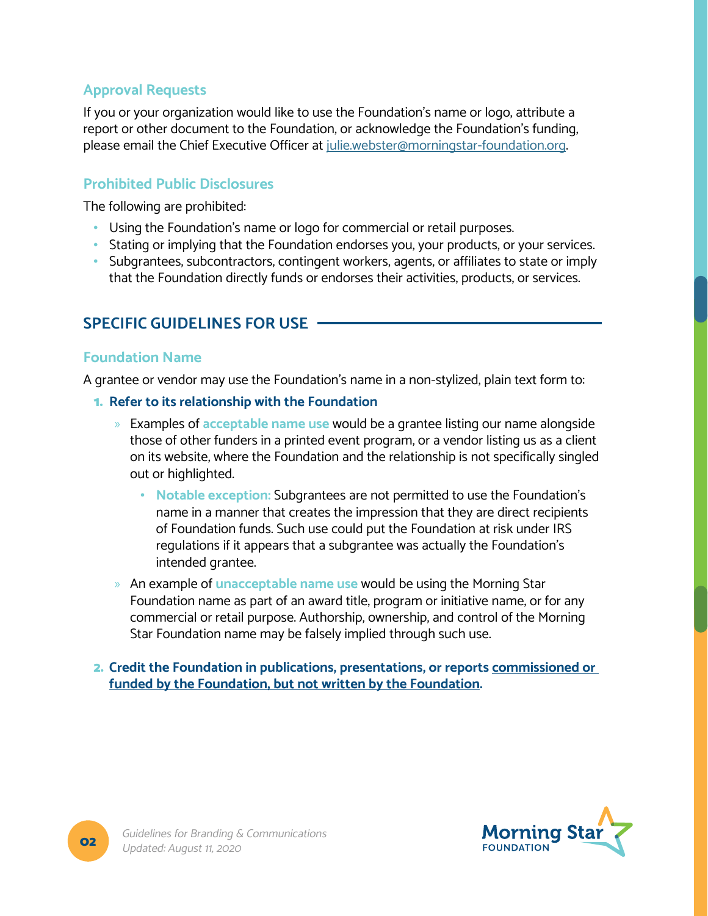# **Approval Requests**

If you or your organization would like to use the Foundation's name or logo, attribute a report or other document to the Foundation, or acknowledge the Foundation's funding, please email the Chief Executive Officer at [julie.webster@morningstar-foundation.org](mailto:julie.webster%40morningstar-foundation.org?subject=Request%20for%20Approval).

### **Prohibited Public Disclosures**

The following are prohibited:

- Using the Foundation's name or logo for commercial or retail purposes.
- Stating or implying that the Foundation endorses you, your products, or your services.
- Subgrantees, subcontractors, contingent workers, agents, or affiliates to state or imply that the Foundation directly funds or endorses their activities, products, or services.

# **SPECIFIC GUIDELINES FOR USE**

### **Foundation Name**

A grantee or vendor may use the Foundation's name in a non-stylized, plain text form to:

- 1. **Refer to its relationship with the Foundation**
	- » Examples of **acceptable name use** would be a grantee listing our name alongside those of other funders in a printed event program, or a vendor listing us as a client on its website, where the Foundation and the relationship is not specifically singled out or highlighted.
		- **Notable exception:** Subgrantees are not permitted to use the Foundation's name in a manner that creates the impression that they are direct recipients of Foundation funds. Such use could put the Foundation at risk under IRS regulations if it appears that a subgrantee was actually the Foundation's intended grantee.
	- » An example of **unacceptable name use** would be using the Morning Star Foundation name as part of an award title, program or initiative name, or for any commercial or retail purpose. Authorship, ownership, and control of the Morning Star Foundation name may be falsely implied through such use.
- 2. **Credit the Foundation in publications, presentations, or reports commissioned or funded by the Foundation, but not written by the Foundation.**

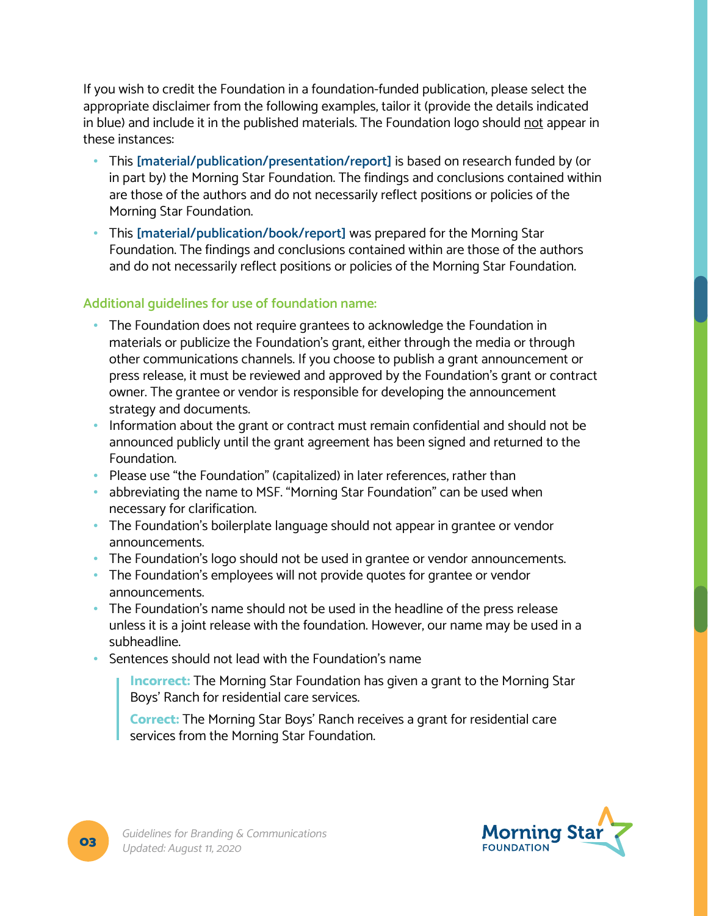If you wish to credit the Foundation in a foundation-funded publication, please select the appropriate disclaimer from the following examples, tailor it (provide the details indicated in blue) and include it in the published materials. The Foundation logo should not appear in these instances:

- This **[material/publication/presentation/report]** is based on research funded by (or in part by) the Morning Star Foundation. The findings and conclusions contained within are those of the authors and do not necessarily reflect positions or policies of the Morning Star Foundation.
- This **[material/publication/book/report]** was prepared for the Morning Star Foundation. The findings and conclusions contained within are those of the authors and do not necessarily reflect positions or policies of the Morning Star Foundation.

### **Additional guidelines for use of foundation name:**

- The Foundation does not require grantees to acknowledge the Foundation in materials or publicize the Foundation's grant, either through the media or through other communications channels. If you choose to publish a grant announcement or press release, it must be reviewed and approved by the Foundation's grant or contract owner. The grantee or vendor is responsible for developing the announcement strategy and documents.
- Information about the grant or contract must remain confidential and should not be announced publicly until the grant agreement has been signed and returned to the Foundation.
- Please use "the Foundation" (capitalized) in later references, rather than
- abbreviating the name to MSF. "Morning Star Foundation" can be used when necessary for clarification.
- The Foundation's boilerplate language should not appear in grantee or vendor announcements.
- The Foundation's logo should not be used in grantee or vendor announcements.
- The Foundation's employees will not provide quotes for grantee or vendor announcements.
- The Foundation's name should not be used in the headline of the press release unless it is a joint release with the foundation. However, our name may be used in a subheadline.
- Sentences should not lead with the Foundation's name

**Incorrect:** The Morning Star Foundation has given a grant to the Morning Star Boys' Ranch for residential care services.

**Correct:** The Morning Star Boys' Ranch receives a grant for residential care services from the Morning Star Foundation.

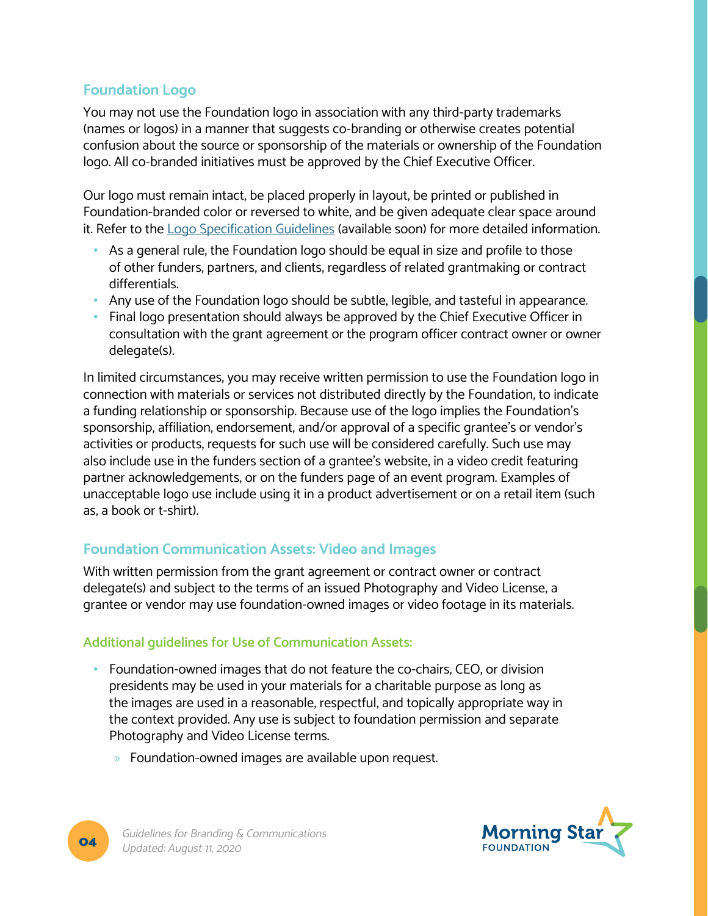# **Foundation Logo**

You may not use the Foundation logo in association with any third-party trademarks (names or logos) in a manner that suggests co-branding or otherwise creates potential confusion about the source or sponsorship of the materials or ownership of the Foundation logo. All co-branded initiatives must be approved by the Chief Executive Officer.

Our logo must remain intact, be placed properly in layout, be printed or published in Foundation-branded color or reversed to white, and be given adequate clear space around it. Refer to the Logo Specification Guidelines (available soon) for more detailed information.

- As a general rule, the Foundation logo should be equal in size and profile to those of other funders, partners, and clients, regardless of related grantmaking or contract differentials.
- Any use of the Foundation logo should be subtle, legible, and tasteful in appearance.
- Final logo presentation should always be approved by the Chief Executive Officer in consultation with the grant agreement or the program officer contract owner or owner delegate(s).

In limited circumstances, you may receive written permission to use the Foundation logo in connection with materials or services not distributed directly by the Foundation, to indicate a funding relationship or sponsorship. Because use of the logo implies the Foundation's sponsorship, affiliation, endorsement, and/or approval of a specific grantee's or vendor's activities or products, requests for such use will be considered carefully. Such use may also include use in the funders section of a grantee's website, in a video credit featuring partner acknowledgements, or on the funders page of an event program. Examples of unacceptable logo use include using it in a product advertisement or on a retail item (such as, a book or t-shirt).

# **Foundation Communication Assets: Video and Images**

With written permission from the grant agreement or contract owner or contract delegate(s) and subject to the terms of an issued Photography and Video License, a grantee or vendor may use foundation-owned images or video footage in its materials.

### **Additional guidelines for Use of Communication Assets:**

- Foundation-owned images that do not feature the co-chairs, CEO, or division presidents may be used in your materials for a charitable purpose as long as the images are used in a reasonable, respectful, and topically appropriate way in the context provided. Any use is subject to foundation permission and separate Photography and Video License terms.
	- » Foundation-owned images are available upon request.